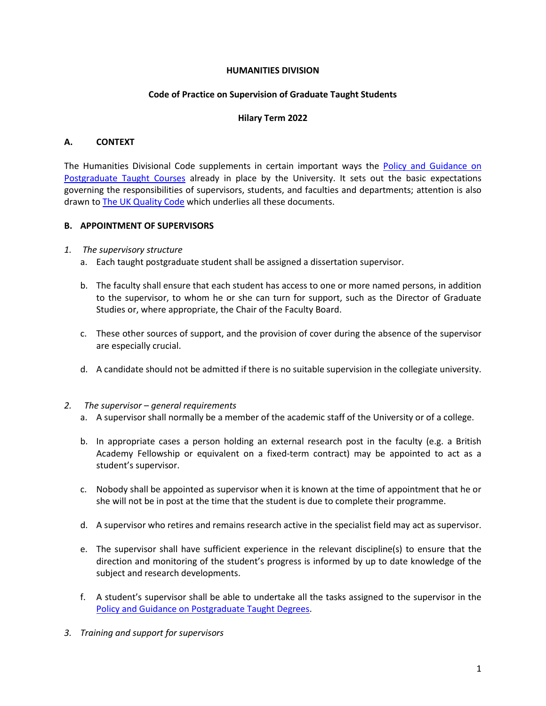#### **HUMANITIES DIVISION**

#### **Code of Practice on Supervision of Graduate Taught Students**

#### **Hilary Term 2022**

### **A. CONTEXT**

The Humanities Divisional Code supplements in certain important ways the Policy [and Guidance](https://academic.admin.ox.ac.uk/policies/pgt) on [Postgraduate Taught Courses](https://academic.admin.ox.ac.uk/policies/pgt) already in place by the University. It sets out the basic expectations governing the responsibilities of supervisors, students, and faculties and departments; attention is also drawn to The UK [Quality Code](https://www.qaa.ac.uk/quality-code) which underlies all these documents.

#### **B. APPOINTMENT OF SUPERVISORS**

- *1. The supervisory structure* 
	- a. Each taught postgraduate student shall be assigned a dissertation supervisor.
	- b. The faculty shall ensure that each student has access to one or more named persons, in addition to the supervisor, to whom he or she can turn for support, such as the Director of Graduate Studies or, where appropriate, the Chair of the Faculty Board.
	- c. These other sources of support, and the provision of cover during the absence of the supervisor are especially crucial.
	- d. A candidate should not be admitted if there is no suitable supervision in the collegiate university.

#### *2. The supervisor – general requirements*

- a. A supervisor shall normally be a member of the academic staff of the University or of a college.
- b. In appropriate cases a person holding an external research post in the faculty (e.g. a British Academy Fellowship or equivalent on a fixed-term contract) may be appointed to act as a student's supervisor.
- c. Nobody shall be appointed as supervisor when it is known at the time of appointment that he or she will not be in post at the time that the student is due to complete their programme.
- d. A supervisor who retires and remains research active in the specialist field may act as supervisor.
- e. The supervisor shall have sufficient experience in the relevant discipline(s) to ensure that the direction and monitoring of the student's progress is informed by up to date knowledge of the subject and research developments.
- f. A student's supervisor shall be able to undertake all the tasks assigned to the supervisor in the [Policy and Guidance on Postgraduate Taught](https://academic.admin.ox.ac.uk/policies/pgt) Degrees.
- *3. Training and support for supervisors*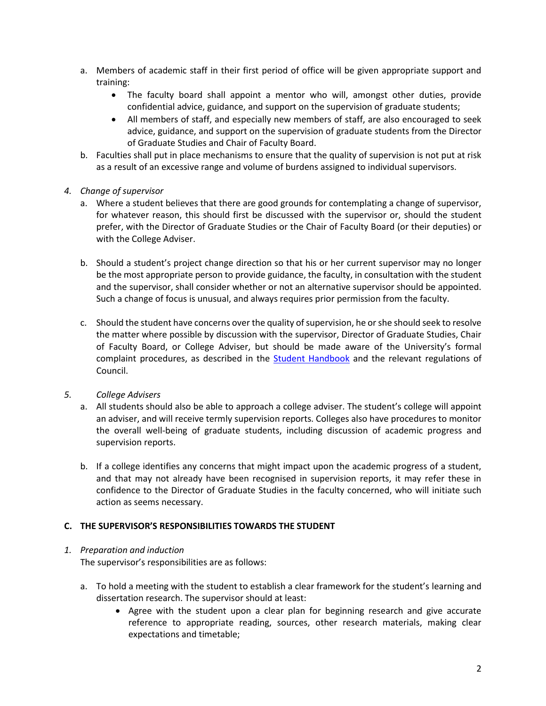- a. Members of academic staff in their first period of office will be given appropriate support and training:
	- The faculty board shall appoint a mentor who will, amongst other duties, provide confidential advice, guidance, and support on the supervision of graduate students;
	- All members of staff, and especially new members of staff, are also encouraged to seek advice, guidance, and support on the supervision of graduate students from the Director of Graduate Studies and Chair of Faculty Board.
- b. Faculties shall put in place mechanisms to ensure that the quality of supervision is not put at risk as a result of an excessive range and volume of burdens assigned to individual supervisors.

## *4. Change of supervisor*

- a. Where a student believes that there are good grounds for contemplating a change of supervisor, for whatever reason, this should first be discussed with the supervisor or, should the student prefer, with the Director of Graduate Studies or the Chair of Faculty Board (or their deputies) or with the College Adviser.
- b. Should a student's project change direction so that his or her current supervisor may no longer be the most appropriate person to provide guidance, the faculty, in consultation with the student and the supervisor, shall consider whether or not an alternative supervisor should be appointed. Such a change of focus is unusual, and always requires prior permission from the faculty.
- c. Should the student have concerns over the quality of supervision, he or she should seek to resolve the matter where possible by discussion with the supervisor, Director of Graduate Studies, Chair of Faculty Board, or College Adviser, but should be made aware of the University's formal complaint procedures, as described in the [Student Handbook](https://www.ox.ac.uk/students/academic/student-handbook?wssl=1) and the relevant regulations of Council.

### *5. College Advisers*

- a. All students should also be able to approach a college adviser. The student's college will appoint an adviser, and will receive termly supervision reports. Colleges also have procedures to monitor the overall well-being of graduate students, including discussion of academic progress and supervision reports.
- b. If a college identifies any concerns that might impact upon the academic progress of a student, and that may not already have been recognised in supervision reports, it may refer these in confidence to the Director of Graduate Studies in the faculty concerned, who will initiate such action as seems necessary.

# **C. THE SUPERVISOR'S RESPONSIBILITIES TOWARDS THE STUDENT**

### *1. Preparation and induction*

The supervisor's responsibilities are as follows:

- a. To hold a meeting with the student to establish a clear framework for the student's learning and dissertation research. The supervisor should at least:
	- Agree with the student upon a clear plan for beginning research and give accurate reference to appropriate reading, sources, other research materials, making clear expectations and timetable;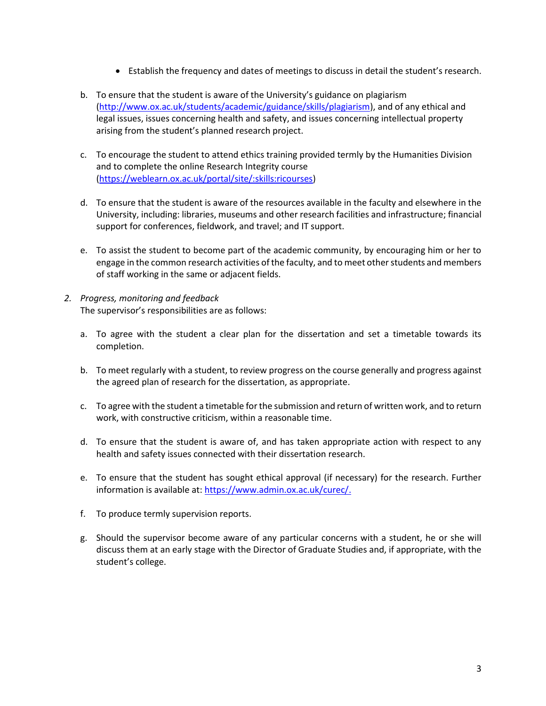- Establish the frequency and dates of meetings to discuss in detail the student's research.
- b. To ensure that the student is aware of the University's guidance on plagiarism [\(http://www.ox.ac.uk/students/academic/guidance/skills/plagiarism\)](http://www.ox.ac.uk/students/academic/guidance/skills/plagiarism), and of any ethical and legal issues, issues concerning health and safety, and issues concerning intellectual property arising from the student's planned research project.
- c. To encourage the student to attend ethics training provided termly by the Humanities Division and to complete the online Research Integrity course [\(https://weblearn.ox.ac.uk/portal/site/:skills:ricourses\)](https://weblearn.ox.ac.uk/portal/site/:skills:ricourses)
- d. To ensure that the student is aware of the resources available in the faculty and elsewhere in the University, including: libraries, museums and other research facilities and infrastructure; financial support for conferences, fieldwork, and travel; and IT support.
- e. To assist the student to become part of the academic community, by encouraging him or her to engage in the common research activities of the faculty, and to meet other students and members of staff working in the same or adjacent fields.
- *2. Progress, monitoring and feedback* The supervisor's responsibilities are as follows:
	- a. To agree with the student a clear plan for the dissertation and set a timetable towards its completion.
	- b. To meet regularly with a student, to review progress on the course generally and progress against the agreed plan of research for the dissertation, as appropriate.
	- c. To agree with the student a timetable for the submission and return of written work, and to return work, with constructive criticism, within a reasonable time.
	- d. To ensure that the student is aware of, and has taken appropriate action with respect to any health and safety issues connected with their dissertation research.
	- e. To ensure that the student has sought ethical approval (if necessary) for the research. Further information is available at: [https://www.admin.ox.ac.uk/curec/.](https://www.admin.ox.ac.uk/curec/)
	- f. To produce termly supervision reports.
	- g. Should the supervisor become aware of any particular concerns with a student, he or she will discuss them at an early stage with the Director of Graduate Studies and, if appropriate, with the student's college.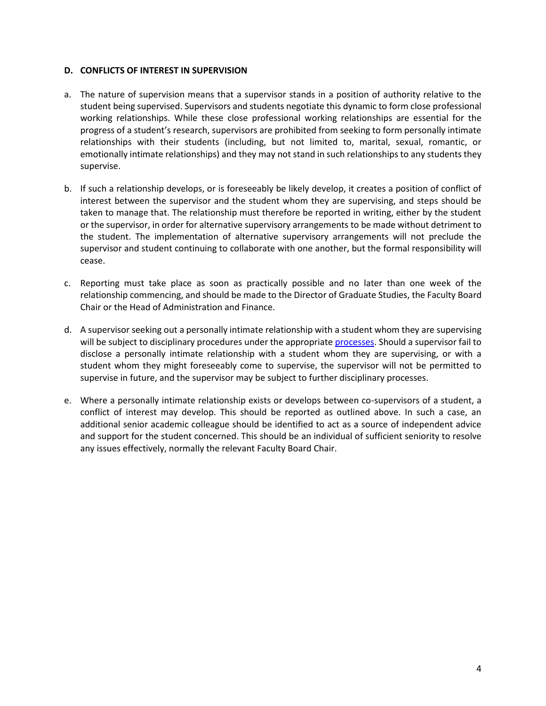#### **D. CONFLICTS OF INTEREST IN SUPERVISION**

- a. The nature of supervision means that a supervisor stands in a position of authority relative to the student being supervised. Supervisors and students negotiate this dynamic to form close professional working relationships. While these close professional working relationships are essential for the progress of a student's research, supervisors are prohibited from seeking to form personally intimate relationships with their students (including, but not limited to, marital, sexual, romantic, or emotionally intimate relationships) and they may not stand in such relationships to any students they supervise.
- b. If such a relationship develops, or is foreseeably be likely develop, it creates a position of conflict of interest between the supervisor and the student whom they are supervising, and steps should be taken to manage that. The relationship must therefore be reported in writing, either by the student or the supervisor, in order for alternative supervisory arrangements to be made without detriment to the student. The implementation of alternative supervisory arrangements will not preclude the supervisor and student continuing to collaborate with one another, but the formal responsibility will cease.
- c. Reporting must take place as soon as practically possible and no later than one week of the relationship commencing, and should be made to the Director of Graduate Studies, the Faculty Board Chair or the Head of Administration and Finance.
- d. A supervisor seeking out a personally intimate relationship with a student whom they are supervising will be subject to disciplinary procedures under the appropriat[e processes.](https://hr.admin.ox.ac.uk/disciplinary-procedures) Should a supervisor fail to disclose a personally intimate relationship with a student whom they are supervising, or with a student whom they might foreseeably come to supervise, the supervisor will not be permitted to supervise in future, and the supervisor may be subject to further disciplinary processes.
- e. Where a personally intimate relationship exists or develops between co-supervisors of a student, a conflict of interest may develop. This should be reported as outlined above. In such a case, an additional senior academic colleague should be identified to act as a source of independent advice and support for the student concerned. This should be an individual of sufficient seniority to resolve any issues effectively, normally the relevant Faculty Board Chair.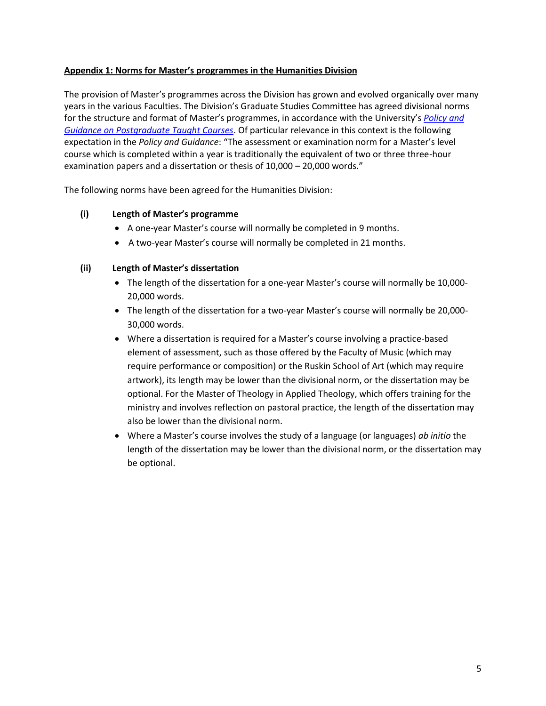## **Appendix 1: Norms for Master's programmes in the Humanities Division**

The provision of Master's programmes across the Division has grown and evolved organically over many years in the various Faculties. The Division's Graduate Studies Committee has agreed divisional norms for the structure and format of Master's programmes, in accordance with the University's *[Policy and](https://academic.admin.ox.ac.uk/policies/pgt)  [Guidance on Postgraduate Taught Courses](https://academic.admin.ox.ac.uk/policies/pgt)*. Of particular relevance in this context is the following expectation in the *Policy and Guidance*: "The assessment or examination norm for a Master's level course which is completed within a year is traditionally the equivalent of two or three three-hour examination papers and a dissertation or thesis of 10,000 – 20,000 words."

The following norms have been agreed for the Humanities Division:

# **(i) Length of Master's programme**

- A one-year Master's course will normally be completed in 9 months.
- A two-year Master's course will normally be completed in 21 months.

## **(ii) Length of Master's dissertation**

- The length of the dissertation for a one-year Master's course will normally be 10,000-20,000 words.
- The length of the dissertation for a two-year Master's course will normally be 20,000-30,000 words.
- Where a dissertation is required for a Master's course involving a practice-based element of assessment, such as those offered by the Faculty of Music (which may require performance or composition) or the Ruskin School of Art (which may require artwork), its length may be lower than the divisional norm, or the dissertation may be optional. For the Master of Theology in Applied Theology, which offers training for the ministry and involves reflection on pastoral practice, the length of the dissertation may also be lower than the divisional norm.
- Where a Master's course involves the study of a language (or languages) *ab initio* the length of the dissertation may be lower than the divisional norm, or the dissertation may be optional.